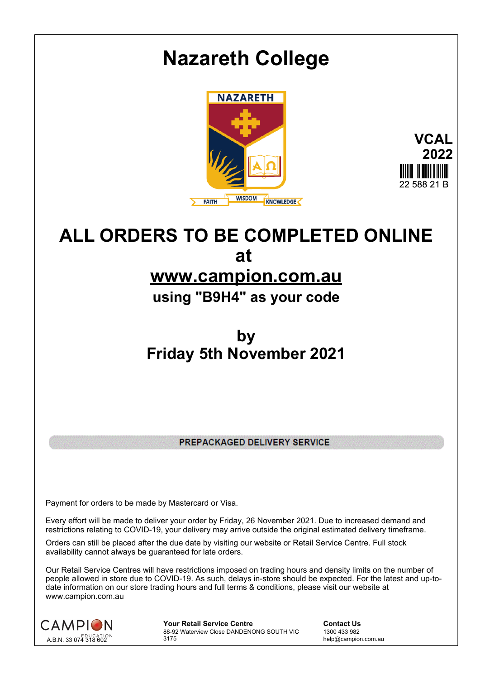

**at** 

## **www.campion.com.au**

**using "B9H4" as your code**

**by Friday 5th November 2021**

PREPACKAGED DELIVERY SERVICE

Payment for orders to be made by Mastercard or Visa.

Every effort will be made to deliver your order by Friday, 26 November 2021. Due to increased demand and restrictions relating to COVID-19, your delivery may arrive outside the original estimated delivery timeframe.

Orders can still be placed after the due date by visiting our website or Retail Service Centre. Full stock availability cannot always be guaranteed for late orders.

Our Retail Service Centres will have restrictions imposed on trading hours and density limits on the number of people allowed in store due to COVID-19. As such, delays in-store should be expected. For the latest and up-todate information on our store trading hours and full terms & conditions, please visit our website at www.campion.com.au



**Your Retail Service Centre Contact Us** 88-92 Waterview Close DANDENONG SOUTH VIC 3175

1300 433 982 help@campion.com.au